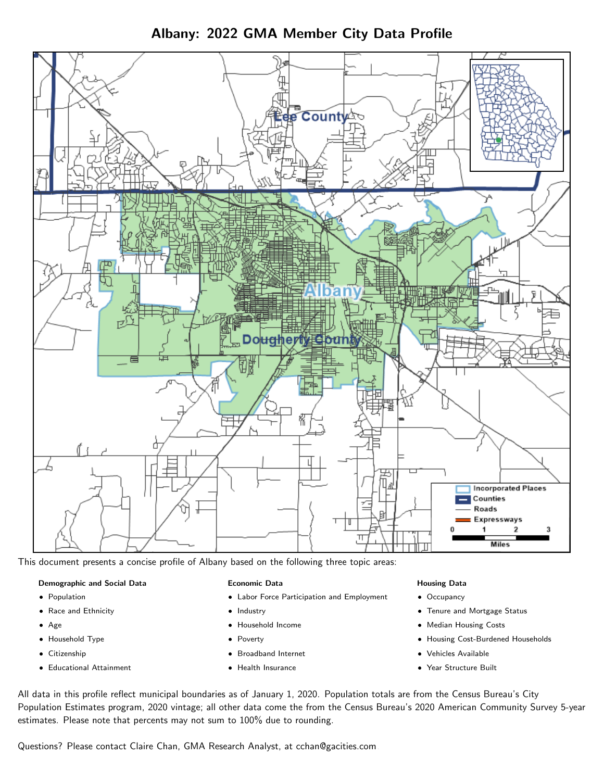Albany: 2022 GMA Member City Data Profile



This document presents a concise profile of Albany based on the following three topic areas:

#### Demographic and Social Data

- **•** Population
- Race and Ethnicity
- Age
- Household Type
- **Citizenship**
- Educational Attainment

#### Economic Data

- Labor Force Participation and Employment
- Industry
- Household Income
- Poverty
- Broadband Internet
- Health Insurance

#### Housing Data

- Occupancy
- Tenure and Mortgage Status
- Median Housing Costs
- Housing Cost-Burdened Households
- Vehicles Available
- Year Structure Built

All data in this profile reflect municipal boundaries as of January 1, 2020. Population totals are from the Census Bureau's City Population Estimates program, 2020 vintage; all other data come the from the Census Bureau's 2020 American Community Survey 5-year estimates. Please note that percents may not sum to 100% due to rounding.

Questions? Please contact Claire Chan, GMA Research Analyst, at [cchan@gacities.com.](mailto:cchan@gacities.com)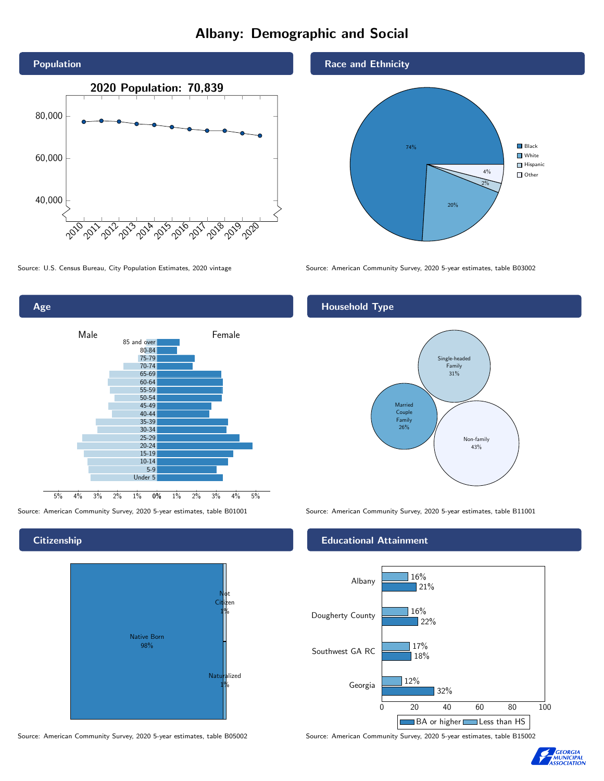# Albany: Demographic and Social





## **Citizenship**



Source: American Community Survey, 2020 5-year estimates, table B05002 Source: American Community Survey, 2020 5-year estimates, table B15002



Source: U.S. Census Bureau, City Population Estimates, 2020 vintage Source: American Community Survey, 2020 5-year estimates, table B03002

# Household Type



Source: American Community Survey, 2020 5-year estimates, table B01001 Source: American Community Survey, 2020 5-year estimates, table B11001

#### Educational Attainment



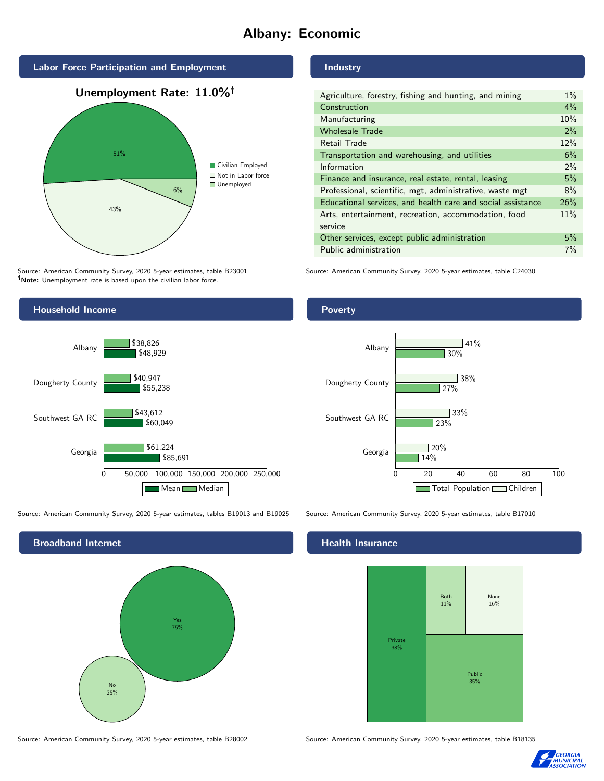# Albany: Economic



Source: American Community Survey, 2020 5-year estimates, table B23001 Note: Unemployment rate is based upon the civilian labor force.



Source: American Community Survey, 2020 5-year estimates, tables B19013 and B19025 Source: American Community Survey, 2020 5-year estimates, table B17010

Broadband Internet No 25% Yes 75%

Source: American Community Survey, 2020 5-year estimates, table B28002 Source: American Community Survey, 2020 5-year estimates, table B18135

## Industry

| Agriculture, forestry, fishing and hunting, and mining      | $1\%$ |
|-------------------------------------------------------------|-------|
| Construction                                                | $4\%$ |
| Manufacturing                                               | 10%   |
| <b>Wholesale Trade</b>                                      | 2%    |
| Retail Trade                                                | 12%   |
| Transportation and warehousing, and utilities               | 6%    |
| Information                                                 | $2\%$ |
| Finance and insurance, real estate, rental, leasing         | 5%    |
| Professional, scientific, mgt, administrative, waste mgt    | 8%    |
| Educational services, and health care and social assistance | 26%   |
| Arts, entertainment, recreation, accommodation, food        | 11%   |
| service                                                     |       |
| Other services, except public administration                | 5%    |
| Public administration                                       | $7\%$ |

Source: American Community Survey, 2020 5-year estimates, table C24030

### Poverty



#### Health Insurance